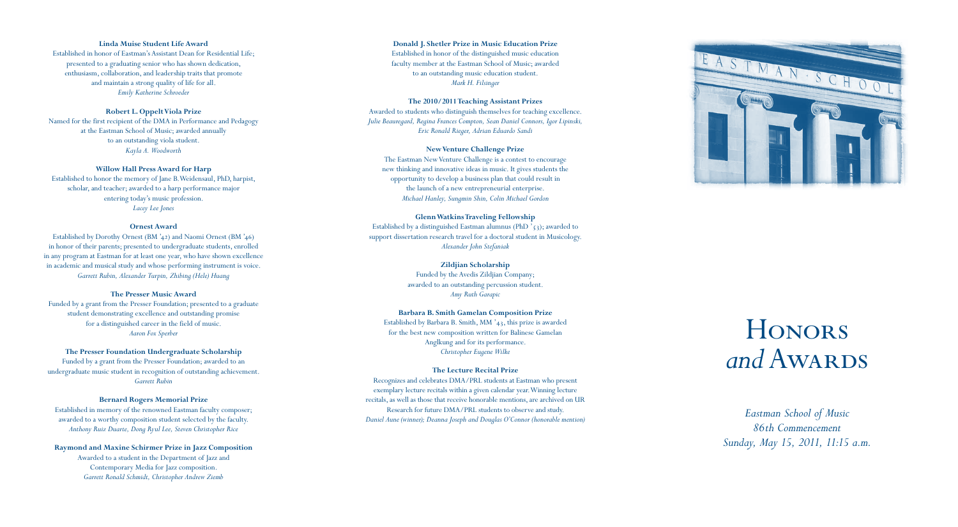*Eastman School of Music 86th Commencement Sunday, May 15, 2011, 11:15 a.m.*

# **Linda Muise Student Life Award**

Established in honor of Eastman's Assistant Dean for Residential Life; presented to a graduating senior who has shown dedication, enthusiasm, collaboration, and leadership traits that promote and maintain a strong quality of life for all. *Emily Katherine Schroeder*

# **Robert L. Oppelt Viola Prize**

Named for the first recipient of the DMA in Performance and Pedagogy at the Eastman School of Music; awarded annually to an outstanding viola student. *Kayla A. Woodworth*

# **Willow Hall Press Award for Harp**

Established to honor the memory of Jane B.Weidensaul, PhD, harpist, scholar, and teacher; awarded to a harp performance major entering today's music profession. *Lacey Lee Jones*

#### **Ornest Award**

Established by Dorothy Ornest (BM '42) and Naomi Ornest (BM '46) in honor of their parents; presented to undergraduate students, enrolled in any program at Eastman for at least one year, who have shown excellence in academic and musical study and whose performing instrument is voice. *Garrett Rubin, Alexander Turpin, Zhibing (Hele) Huang*

#### **The Presser Music Award**

Funded by a grant from the Presser Foundation; presented to a graduate student demonstrating excellence and outstanding promise for a distinguished career in the field of music. *Aaron Fox Sperber*

# **The Presser Foundation Undergraduate Scholarship**

Established by a distinguished Eastman alumnus (PhD  $\zeta$ 3); awarded to support dissertation research travel for a doctoral student in Musicology. *Alexander John Stefaniak*

Funded by a grant from the Presser Foundation; awarded to an undergraduate music student in recognition of outstanding achievement. *Garrett Rubin*

#### **Bernard Rogers Memorial Prize**

Established in memory of the renowned Eastman faculty composer; awarded to a worthy composition student selected by the faculty. *Anthony Ruiz Duarte, Dong Ryul Lee, Steven Christopher Rice*

**Raymond and Maxine Schirmer Prize in Jazz Composition** Awarded to a student in the Department of Jazz and Contemporary Media for Jazz composition. *Garrett Ronald Schmidt, Christopher Andrew Ziemb*

#### **Donald J. Shetler Prize in Music Education Prize**

Established in honor of the distinguished music education faculty member at the Eastman School of Music; awarded to an outstanding music education student. *Mark H. Filsinger*

#### **The 2010/2011 Teaching Assistant Prizes**

Awarded to students who distinguish themselves for teaching excellence. *Julie Beauregard, Regina Frances Compton, Sean Daniel Connors, Igor Lipinski, Eric Ronald Rieger, Adrian Eduardo Sandi*

#### **New Venture Challenge Prize**

The Eastman New Venture Challenge is a contest to encourage new thinking and innovative ideas in music. It gives students the opportunity to develop a business plan that could result in the launch of a new entrepreneurial enterprise. *Michael Hanley, Sungmin Shin, Colin Michael Gordon*

#### **Glenn Watkins Traveling Fellowship**

# **Zildjian Scholarship**

Funded by the Avedis Zildjian Company; awarded to an outstanding percussion student. *Amy Ruth Garapic*

#### **Barbara B. Smith Gamelan Composition Prize**

Established by Barbara B. Smith, MM '43, this prize is awarded for the best new composition written for Balinese Gamelan Anglkung and for its performance. *Christopher Eugene Wilke*

# **The Lecture Recital Prize**

Recognizes and celebrates DMA/PRL students at Eastman who present exemplary lecture recitals within a given calendar year. Winning lecture recitals, as well as those that receive honorable mentions, are archived on UR Research for future DMA/PRL students to observe and study. *Daniel Aune (winner); Deanna Joseph and Douglas O'Connor (honorable mention)*



# **HONORS** *and* Awards